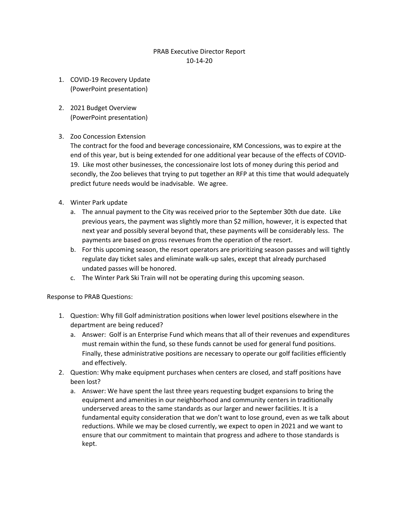## PRAB Executive Director Report 10-14-20

- 1. COVID-19 Recovery Update (PowerPoint presentation)
- 2. 2021 Budget Overview (PowerPoint presentation)

## 3. Zoo Concession Extension

The contract for the food and beverage concessionaire, KM Concessions, was to expire at the end of this year, but is being extended for one additional year because of the effects of COVID-19. Like most other businesses, the concessionaire lost lots of money during this period and secondly, the Zoo believes that trying to put together an RFP at this time that would adequately predict future needs would be inadvisable. We agree.

- 4. Winter Park update
	- a. The annual payment to the City was received prior to the September 30th due date. Like previous years, the payment was slightly more than \$2 million, however, it is expected that next year and possibly several beyond that, these payments will be considerably less. The payments are based on gross revenues from the operation of the resort.
	- b. For this upcoming season, the resort operators are prioritizing season passes and will tightly regulate day ticket sales and eliminate walk-up sales, except that already purchased undated passes will be honored.
	- c. The Winter Park Ski Train will not be operating during this upcoming season.

## Response to PRAB Questions:

- 1. Question: Why fill Golf administration positions when lower level positions elsewhere in the department are being reduced?
	- a. Answer: Golf is an Enterprise Fund which means that all of their revenues and expenditures must remain within the fund, so these funds cannot be used for general fund positions. Finally, these administrative positions are necessary to operate our golf facilities efficiently and effectively.
- 2. Question: Why make equipment purchases when centers are closed, and staff positions have been lost?
	- a. Answer: We have spent the last three years requesting budget expansions to bring the equipment and amenities in our neighborhood and community centers in traditionally underserved areas to the same standards as our larger and newer facilities. It is a fundamental equity consideration that we don't want to lose ground, even as we talk about reductions. While we may be closed currently, we expect to open in 2021 and we want to ensure that our commitment to maintain that progress and adhere to those standards is kept.